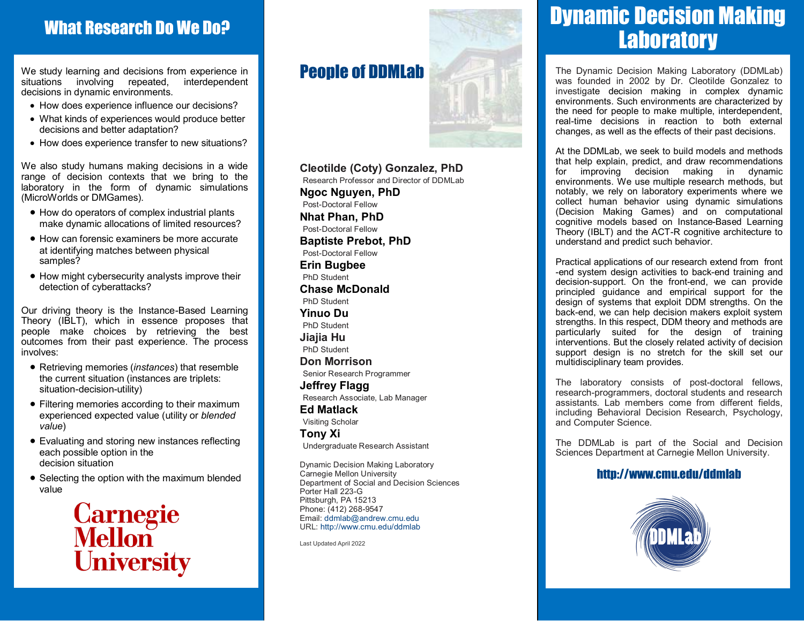### What Research Do We Do?

We study learning and decisions from experience in situations involving repeated, interdependent decisions in dynamic environments.

- How does experience influence our decisions?
- What kinds of experiences would produce better decisions and better adaptation?
- How does experience transfer to new situations?

We also study humans making decisions in a wide range of decision contexts that we bring to the laboratory in the form of dynamic simulations (MicroWorlds or DMGames).

- How do operators of complex industrial plants make dynamic allocations of limited resources?
- How can forensic examiners be more accurate at identifying matches between physical samples?
- How might cybersecurity analysts improve their detection of cyberattacks?

Our driving theory is the Instance-Based Learning Theory (IBLT), which in essence proposes that people make choices by retrieving the best outcomes from their past experience. The process involves:

- Retrieving memories (*instances*) that resemble the current situation (instances are triplets: situation-decision-utility)
- Filtering memories according to their maximum experienced expected value (utility or *blended value*)
- Evaluating and storing new instances reflecting each possible option in the decision situation
- Selecting the option with the maximum blended value

**Carnegie**<br>Mellon University

### People of DDMLab



**Cleotilde (Coty) Gonzalez, PhD** Research Professor and Director of DDMLab **Ngoc Nguyen, PhD** Post-Doctoral Fellow **Nhat Phan, PhD** Post-Doctoral Fellow **Baptiste Prebot, PhD** Post-Doctoral Fellow **Erin Bugbee** PhD Student **Chase McDonald** PhD Student **Yinuo Du** PhD Student **Jiajia Hu** PhD Student **Don Morrison** Senior Research Programmer **Jeffrey Flagg**  Research Associate, Lab Manager **Ed Matlack** Visiting Scholar **Tony Xi** Undergraduate Research Assistant

Dynamic Decision Making Laboratory Carnegie Mellon University Department of Social and Decision Sciences Porter Hall 223-G Pittsburgh, PA 15213 Phone: (412) 268-9547 Email: ddmlab@andrew.cmu.edu URL: http://www.cmu.edu/ddmlab

Last Updated April 2022

# Dynamic Decision Making **Laboratory**

The Dynamic Decision Making Laboratory (DDMLab) was founded in 2002 by Dr. Cleotilde Gonzalez to investigate decision making in complex dynamic environments. Such environments are characterized by the need for people to make multiple, interdependent, real-time decisions in reaction to both external changes, as well as the effects of their past decisions.

At the DDMLab, we seek to build models and methods that help explain, predict, and draw recommendations for improving decision making in dynamic environments. We use multiple research methods, but notably, we rely on laboratory experiments where we collect human behavior using dynamic simulations (Decision Making Games) and on computational cognitive models based on Instance-Based Learning Theory (IBLT) and the ACT-R cognitive architecture to understand and predict such behavior.

Practical applications of our research extend from front -end system design activities to back-end training and decision-support. On the front-end, we can provide principled guidance and empirical support for the design of systems that exploit DDM strengths. On the back-end, we can help decision makers exploit system strengths. In this respect, DDM theory and methods are particularly suited for the design of training interventions. But the closely related activity of decision support design is no stretch for the skill set our multidisciplinary team provides.

The laboratory consists of post-doctoral fellows, research-programmers, doctoral students and research assistants. Lab members come from different fields, including Behavioral Decision Research, Psychology, and Computer Science.

The DDMLab is part of the Social and Decision Sciences Department at Carnegie Mellon University.

### http://www.cmu.edu/ddmlab